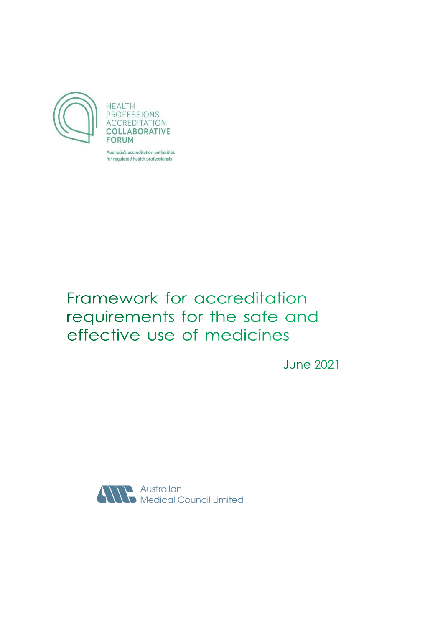

Australia's accreditation authorities for regulated health professionals

# Framework for accreditation requirements for the safe and effective use of medicines

**June 2021** 

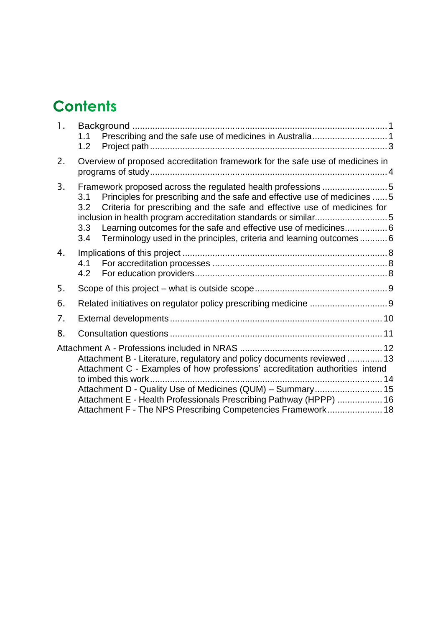# **Contents**

| $\mathbf{1}$ . | 1.1<br>1.2                                                                    |                                                                                                                                                                                                                                                                                                                                                                     |  |
|----------------|-------------------------------------------------------------------------------|---------------------------------------------------------------------------------------------------------------------------------------------------------------------------------------------------------------------------------------------------------------------------------------------------------------------------------------------------------------------|--|
| 2.             | Overview of proposed accreditation framework for the safe use of medicines in |                                                                                                                                                                                                                                                                                                                                                                     |  |
| 3.             | 3.1<br>3.2<br>3.3<br>3.4                                                      | Principles for prescribing and the safe and effective use of medicines  5<br>Criteria for prescribing and the safe and effective use of medicines for<br>inclusion in health program accreditation standards or similar5<br>Learning outcomes for the safe and effective use of medicines6<br>Terminology used in the principles, criteria and learning outcomes  6 |  |
| 4.             | 4.1<br>4.2                                                                    |                                                                                                                                                                                                                                                                                                                                                                     |  |
| 5.             |                                                                               |                                                                                                                                                                                                                                                                                                                                                                     |  |
| 6.             |                                                                               |                                                                                                                                                                                                                                                                                                                                                                     |  |
| 7.             |                                                                               |                                                                                                                                                                                                                                                                                                                                                                     |  |
| 8.             |                                                                               |                                                                                                                                                                                                                                                                                                                                                                     |  |
|                |                                                                               | Attachment B - Literature, regulatory and policy documents reviewed  13<br>Attachment C - Examples of how professions' accreditation authorities intend<br>Attachment D - Quality Use of Medicines (QUM) - Summary 15<br>Attachment E - Health Professionals Prescribing Pathway (HPPP)  16<br>Attachment F - The NPS Prescribing Competencies Framework 18         |  |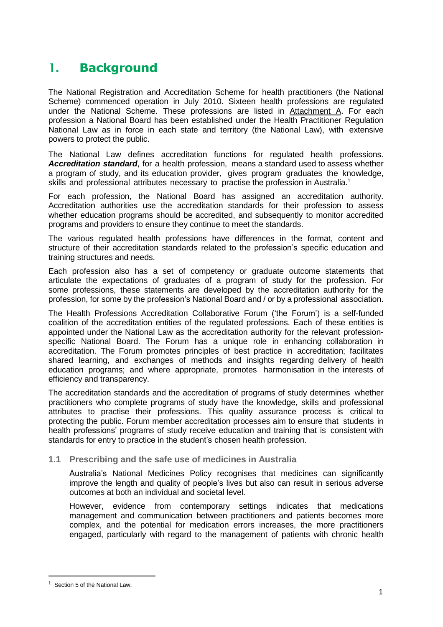# <span id="page-2-0"></span>1. **Background**

The National Registration and Accreditation Scheme for health practitioners (the National Scheme) commenced operation in July 2010. Sixteen health professions are regulated under the National Scheme. These professions are listed in Attachment A. For each profession a National Board has been established under the Health Practitioner Regulation National Law as in force in each state and territory (the National Law), with extensive powers to protect the public.

The National Law defines accreditation functions for regulated health professions. *Accreditation standard*, for a health profession, means a standard used to assess whether a program of study, and its education provider, gives program graduates the knowledge, skills and professional attributes necessary to practise the profession in Australia.<sup>1</sup>

For each profession, the National Board has assigned an accreditation authority. Accreditation authorities use the accreditation standards for their profession to assess whether education programs should be accredited, and subsequently to monitor accredited programs and providers to ensure they continue to meet the standards.

The various regulated health professions have differences in the format, content and structure of their accreditation standards related to the profession's specific education and training structures and needs.

Each profession also has a set of competency or graduate outcome statements that articulate the expectations of graduates of a program of study for the profession. For some professions, these statements are developed by the accreditation authority for the profession, for some by the profession's National Board and / or by a professional association.

The Health Professions Accreditation Collaborative Forum ('the Forum') is a self-funded coalition of the accreditation entities of the regulated professions. Each of these entities is appointed under the National Law as the accreditation authority for the relevant professionspecific National Board. The Forum has a unique role in enhancing collaboration in accreditation. The Forum promotes principles of best practice in accreditation; facilitates shared learning, and exchanges of methods and insights regarding delivery of health education programs; and where appropriate, promotes harmonisation in the interests of efficiency and transparency.

The accreditation standards and the accreditation of programs of study determines whether practitioners who complete programs of study have the knowledge, skills and professional attributes to practise their professions. This quality assurance process is critical to protecting the public. Forum member accreditation processes aim to ensure that students in health professions' programs of study receive education and training that is consistent with standards for entry to practice in the student's chosen health profession.

### <span id="page-2-1"></span>**1.1 Prescribing and the safe use of medicines in Australia**

Australia's National Medicines Policy recognises that medicines can significantly improve the length and quality of people's lives but also can result in serious adverse outcomes at both an individual and societal level.

However, evidence from contemporary settings indicates that medications management and communication between practitioners and patients becomes more complex, and the potential for medication errors increases, the more practitioners engaged, particularly with regard to the management of patients with chronic health

 $\ddot{\phantom{a}}$ 

<sup>&</sup>lt;sup>1</sup> Section 5 of the National Law.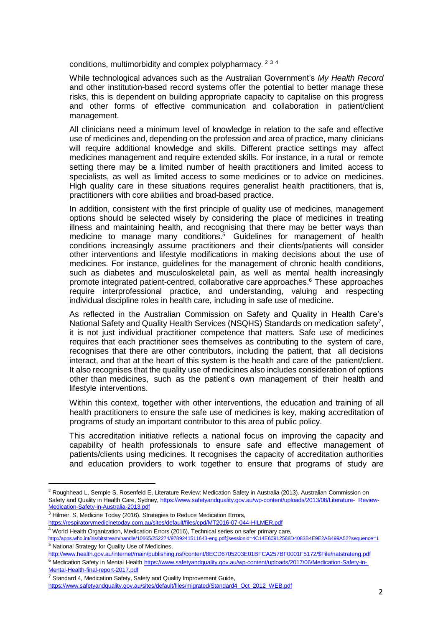conditions, multimorbidity and complex polypharmacy.<sup>234</sup>

While technological advances such as the Australian Government's *My Health Record* and other institution-based record systems offer the potential to better manage these risks, this is dependent on building appropriate capacity to capitalise on this progress and other forms of effective communication and collaboration in patient/client management.

All clinicians need a minimum level of knowledge in relation to the safe and effective use of medicines and, depending on the profession and area of practice, many clinicians will require additional knowledge and skills. Different practice settings may affect medicines management and require extended skills. For instance, in a rural or remote setting there may be a limited number of health practitioners and limited access to specialists, as well as limited access to some medicines or to advice on medicines. High quality care in these situations requires generalist health practitioners, that is, practitioners with core abilities and broad-based practice.

In addition, consistent with the first principle of quality use of medicines, management options should be selected wisely by considering the place of medicines in treating illness and maintaining health, and recognising that there may be better ways than medicine to manage many conditions. <sup>5</sup> Guidelines for management of health conditions increasingly assume practitioners and their clients/patients will consider other interventions and lifestyle modifications in making decisions about the use of medicines. For instance, guidelines for the management of chronic health conditions, such as diabetes and musculoskeletal pain, as well as mental health increasingly promote integrated patient-centred, collaborative care approaches. <sup>6</sup> These approaches require interprofessional practice, and understanding, valuing and respecting individual discipline roles in health care, including in safe use of medicine.

As reflected in the Australian Commission on Safety and Quality in Health Care's National Safety and Quality Health Services (NSQHS) Standards on medication safety<sup>7</sup>, it is not just individual practitioner competence that matters. Safe use of medicines requires that each practitioner sees themselves as contributing to the system of care, recognises that there are other contributors, including the patient, that all decisions interact, and that at the heart of this system is the health and care of the patient/client. It also recognises that the quality use of medicines also includes consideration of options other than medicines, such as the patient's own management of their health and lifestyle interventions.

Within this context, together with other interventions, the education and training of all health practitioners to ensure the safe use of medicines is key, making accreditation of programs of study an important contributor to this area of public policy.

This accreditation initiative reflects a national focus on improving the capacity and capability of health professionals to ensure safe and effective management of patients/clients using medicines. It recognises the capacity of accreditation authorities and education providers to work together to ensure that programs of study are

 $\overline{a}$ 

[http://www.health.gov.au/internet/main/publishing.nsf/content/8ECD6705203E01BFCA257BF0001F5172/\\$File/natstrateng.pdf](http://www.health.gov.au/internet/main/publishing.nsf/content/8ECD6705203E01BFCA257BF0001F5172/%24File/natstrateng.pdf)

<sup>&</sup>lt;sup>2</sup> Roughhead L, Semple S, Rosenfeld E, Literature Review: Medication Safety in Australia (2013). Australian Commission on Safety and Quality in Health Care, Sydney, [https://www.safetyandquality.gov.au/wp-content/uploads/2013/08/Literature-](https://www.safetyandquality.gov.au/wp-content/uploads/2013/08/Literature-Review-Medication-Safety-in-Australia-2013.pdf) [Review-](https://www.safetyandquality.gov.au/wp-content/uploads/2013/08/Literature-Review-Medication-Safety-in-Australia-2013.pdf)[Medication-Safety-in-Australia-2013.pdf](https://www.safetyandquality.gov.au/wp-content/uploads/2013/08/Literature-Review-Medication-Safety-in-Australia-2013.pdf)

<sup>&</sup>lt;sup>3</sup> Hilmer. S, Medicine Today (2016). Strategies to Reduce Medication Errors,

<https://respiratorymedicinetoday.com.au/sites/default/files/cpd/MT2016-07-044-HILMER.pdf>

<sup>4</sup> World Health Organization, Medication Errors (2016), Technical series on safer primary care,

[http://apps.who.int/iris/bitstream/handle/10665/252274/9789241511643-eng.pdf;jsessionid=4C14E60912588D4083B4E9E2AB499A52?sequence=1](http://apps.who.int/iris/bitstream/handle/10665/252274/9789241511643-eng.pdf%3Bjsessionid%3D4C14E60912588D4083B4E9E2AB499A52?sequence=1) <sup>5</sup> National Strategy for Quality Use of Medicines,

<sup>&</sup>lt;sup>6</sup> Medication Safety in Mental Health [https://www.safetyandquality.gov.au/wp-content/uploads/2017/06/Medication-Safety-in-](https://www.safetyandquality.gov.au/wp-content/uploads/2017/06/Medication-Safety-in-Mental-Health-final-report-2017.pdf)[Mental-Health-final-report-2017.pdf](https://www.safetyandquality.gov.au/wp-content/uploads/2017/06/Medication-Safety-in-Mental-Health-final-report-2017.pdf)

 $7$  Standard 4, Medication Safety, Safety and Quality Improvement Guide,

[https://www.safetyandquality.gov.au/sites/default/files/migrated/Standard4\\_Oct\\_2012\\_WEB.pdf](https://www.safetyandquality.gov.au/sites/default/files/migrated/Standard4_Oct_2012_WEB.pdf)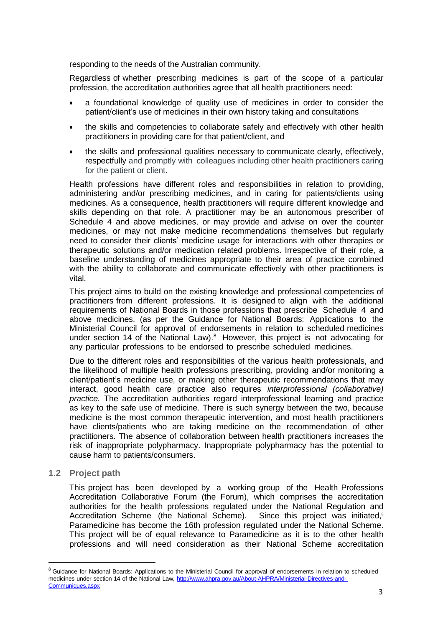responding to the needs of the Australian community.

Regardless of whether prescribing medicines is part of the scope of a particular profession, the accreditation authorities agree that all health practitioners need:

- a foundational knowledge of quality use of medicines in order to consider the patient/client's use of medicines in their own history taking and consultations
- the skills and competencies to collaborate safely and effectively with other health practitioners in providing care for that patient/client, and
- the skills and professional qualities necessary to communicate clearly, effectively, respectfully and promptly with colleagues including other health practitioners caring for the patient or client.

Health professions have different roles and responsibilities in relation to providing, administering and/or prescribing medicines, and in caring for patients/clients using medicines. As a consequence, health practitioners will require different knowledge and skills depending on that role. A practitioner may be an autonomous prescriber of Schedule 4 and above medicines, or may provide and advise on over the counter medicines, or may not make medicine recommendations themselves but regularly need to consider their clients' medicine usage for interactions with other therapies or therapeutic solutions and/or medication related problems. Irrespective of their role, a baseline understanding of medicines appropriate to their area of practice combined with the ability to collaborate and communicate effectively with other practitioners is vital.

This project aims to build on the existing knowledge and professional competencies of practitioners from different professions. It is designed to align with the additional requirements of National Boards in those professions that prescribe Schedule 4 and above medicines, (as per the Guidance for National Boards: Applications to the Ministerial Council for approval of endorsements in relation to scheduled medicines under section 14 of the National Law). $8$  However, this project is not advocating for any particular professions to be endorsed to prescribe scheduled medicines.

Due to the different roles and responsibilities of the various health professionals, and the likelihood of multiple health professions prescribing, providing and/or monitoring a client/patient's medicine use, or making other therapeutic recommendations that may interact, good health care practice also requires *interprofessional (collaborative) practice.* The accreditation authorities regard interprofessional learning and practice as key to the safe use of medicine. There is such synergy between the two, because medicine is the most common therapeutic intervention, and most health practitioners have clients/patients who are taking medicine on the recommendation of other practitioners. The absence of collaboration between health practitioners increases the risk of inappropriate polypharmacy. Inappropriate polypharmacy has the potential to cause harm to patients/consumers.

<span id="page-4-0"></span>**1.2 Project path**

 $\ddot{\phantom{a}}$ 

This project has been developed by a working group of the Health Professions Accreditation Collaborative Forum (the Forum), which comprises the accreditation authorities for the health professions regulated under the National Regulation and Accreditation Scheme (the National Scheme). Since this project was initiated,<sup>8</sup> Paramedicine has become the 16th profession regulated under the National Scheme. This project will be of equal relevance to Paramedicine as it is to the other health professions and will need consideration as their National Scheme accreditation

<sup>&</sup>lt;sup>8</sup> Guidance for National Boards: Applications to the Ministerial Council for approval of endorsements in relation to scheduled medicines under section 14 of the National Law, [http://www.ahpra.gov.au/About-AHPRA/Ministerial-Directives-and-](http://www.ahpra.gov.au/About-AHPRA/Ministerial-Directives-and-Communiques.aspx)[Communiques.aspx](http://www.ahpra.gov.au/About-AHPRA/Ministerial-Directives-and-Communiques.aspx)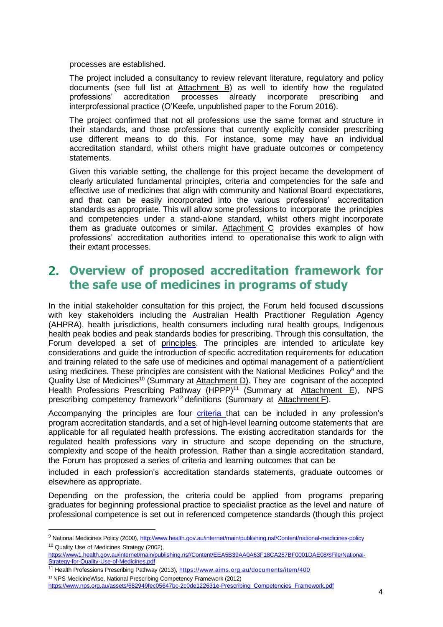processes are established.

The project included a consultancy to review relevant literature, regulatory and policy documents (see full list at Attachment B) as well to identify how the regulated professions' accreditation processes already incorporate prescribing and interprofessional practice (O'Keefe, unpublished paper to the Forum 2016).

The project confirmed that not all professions use the same format and structure in their standards, and those professions that currently explicitly consider prescribing use different means to do this. For instance, some may have an individual accreditation standard, whilst others might have graduate outcomes or competency statements.

Given this variable setting, the challenge for this project became the development of clearly articulated fundamental principles, criteria and competencies for the safe and effective use of medicines that align with community and National Board expectations, and that can be easily incorporated into the various professions' accreditation standards as appropriate. This will allow some professions to incorporate the principles and competencies under a stand-alone standard, whilst others might incorporate them as graduate outcomes or similar. Attachment C provides examples of how professions' accreditation authorities intend to operationalise this work to align with their extant processes.

## <span id="page-5-0"></span>**Overview of proposed accreditation framework for the safe use of medicines in programs of study**

In the initial stakeholder consultation for this project, the Forum held focused discussions with key stakeholders including the Australian Health Practitioner Regulation Agency (AHPRA), health jurisdictions, health consumers including rural health groups, Indigenous health peak bodies and peak standards bodies for prescribing. Through this consultation, the Forum developed a set of principles. The principles are intended to articulate key considerations and guide the introduction of specific accreditation requirements for education and training related to the safe use of medicines and optimal management of a patient/client using medicines. These principles are consistent with the National Medicines Policy<sup>9</sup> and the Quality Use of Medicines<sup>10</sup> (Summary at Attachment D). They are cognisant of the accepted Health Professions Prescribing Pathway (HPPP)<sup>11</sup> (Summary at Attachment E), NPS prescribing competency framework<sup>12</sup> definitions (Summary at Attachment F).

Accompanying the principles are four criteria that can be included in any profession's program accreditation standards, and a set of high-level learning outcome statements that are applicable for all regulated health professions. The existing accreditation standards for the regulated health professions vary in structure and scope depending on the structure, complexity and scope of the health profession. Rather than a single accreditation standard, the Forum has proposed a series of criteria and learning outcomes that can be

included in each profession's accreditation standards statements, graduate outcomes or elsewhere as appropriate.

Depending on the profession, the criteria could be applied from programs preparing graduates for beginning professional practice to specialist practice as the level and nature of professional competence is set out in referenced competence standards (though this project

 $\overline{a}$ 

<sup>9</sup> National Medicines Policy (2000), <http://www.health.gov.au/internet/main/publishing.nsf/Content/national-medicines-policy> <sup>10</sup> Quality Use of Medicines Strategy (2002),

[https://www1.health.gov.au/internet/main/publishing.nsf/Content/EEA5B39AA0A63F18CA257BF0001DAE08/\\$File/National-](https://www1.health.gov.au/internet/main/publishing.nsf/Content/EEA5B39AA0A63F18CA257BF0001DAE08/$File/National-Strategy-for-Quality-Use-of-Medicines.pdf)[Strategy-for-Quality-Use-of-Medicines.pdf](https://www1.health.gov.au/internet/main/publishing.nsf/Content/EEA5B39AA0A63F18CA257BF0001DAE08/$File/National-Strategy-for-Quality-Use-of-Medicines.pdf)

<sup>&</sup>lt;sup>11</sup> Health Professions Prescribing Pathway (2013), <https://www.aims.org.au/documents/item/400>

<sup>12</sup> NPS MedicineWise, National Prescribing Competency Framework (2012)

[https://www.nps.org.au/assets/682949fec05647bc-2c0de122631e-Prescribing\\_Competencies\\_Framework.pdf](https://www.nps.org.au/assets/682949fec05647bc-2c0de122631e-Prescribing_Competencies_Framework.pdf)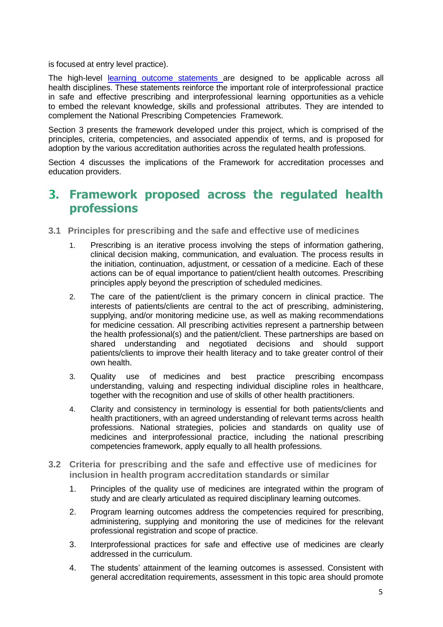is focused at entry level practice).

The high-level learning outcome statements are designed to be applicable across all health disciplines. These statements reinforce the important role of interprofessional practice in safe and effective prescribing and interprofessional learning opportunities as a vehicle to embed the relevant knowledge, skills and professional attributes. They are intended to complement the National Prescribing Competencies Framework.

Section 3 presents the framework developed under this project, which is comprised of the principles, criteria, competencies, and associated appendix of terms, and is proposed for adoption by the various accreditation authorities across the regulated health professions.

Section 4 discusses the implications of the Framework for accreditation processes and education providers.

### <span id="page-6-0"></span>3. **Framework proposed across the regulated health professions**

- <span id="page-6-1"></span>**3.1 Principles for prescribing and the safe and effective use of medicines**
	- 1. Prescribing is an iterative process involving the steps of information gathering, clinical decision making, communication, and evaluation. The process results in the initiation, continuation, adjustment, or cessation of a medicine. Each of these actions can be of equal importance to patient/client health outcomes. Prescribing principles apply beyond the prescription of scheduled medicines.
	- 2. The care of the patient/client is the primary concern in clinical practice. The interests of patients/clients are central to the act of prescribing, administering, supplying, and/or monitoring medicine use, as well as making recommendations for medicine cessation. All prescribing activities represent a partnership between the health professional(s) and the patient/client. These partnerships are based on shared understanding and negotiated decisions and should support patients/clients to improve their health literacy and to take greater control of their own health.
	- 3. Quality use of medicines and best practice prescribing encompass understanding, valuing and respecting individual discipline roles in healthcare, together with the recognition and use of skills of other health practitioners.
	- 4. Clarity and consistency in terminology is essential for both patients/clients and health practitioners, with an agreed understanding of relevant terms across health professions. National strategies, policies and standards on quality use of medicines and interprofessional practice, including the national prescribing competencies framework, apply equally to all health professions.
- <span id="page-6-2"></span>**3.2 Criteria for prescribing and the safe and effective use of medicines for inclusion in health program accreditation standards or similar**
	- 1. Principles of the quality use of medicines are integrated within the program of study and are clearly articulated as required disciplinary learning outcomes.
	- 2. Program learning outcomes address the competencies required for prescribing, administering, supplying and monitoring the use of medicines for the relevant professional registration and scope of practice.
	- 3. Interprofessional practices for safe and effective use of medicines are clearly addressed in the curriculum.
	- 4. The students' attainment of the learning outcomes is assessed. Consistent with general accreditation requirements, assessment in this topic area should promote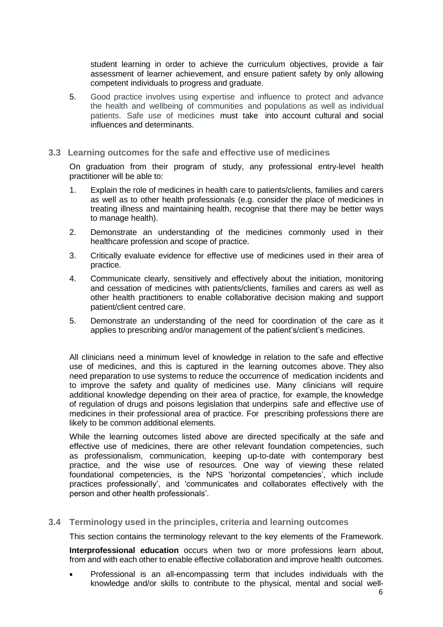student learning in order to achieve the curriculum objectives, provide a fair assessment of learner achievement, and ensure patient safety by only allowing competent individuals to progress and graduate.

- 5. Good practice involves using expertise and influence to protect and advance the health and wellbeing of communities and populations as well as individual patients. Safe use of medicines must take into account cultural and social influences and determinants.
- <span id="page-7-0"></span>**3.3 Learning outcomes for the safe and effective use of medicines**

On graduation from their program of study, any professional entry-level health practitioner will be able to:

- 1. Explain the role of medicines in health care to patients/clients, families and carers as well as to other health professionals (e.g. consider the place of medicines in treating illness and maintaining health, recognise that there may be better ways to manage health).
- 2. Demonstrate an understanding of the medicines commonly used in their healthcare profession and scope of practice.
- 3. Critically evaluate evidence for effective use of medicines used in their area of practice.
- 4. Communicate clearly, sensitively and effectively about the initiation, monitoring and cessation of medicines with patients/clients, families and carers as well as other health practitioners to enable collaborative decision making and support patient/client centred care.
- 5. Demonstrate an understanding of the need for coordination of the care as it applies to prescribing and/or management of the patient's/client's medicines.

All clinicians need a minimum level of knowledge in relation to the safe and effective use of medicines, and this is captured in the learning outcomes above. They also need preparation to use systems to reduce the occurrence of medication incidents and to improve the safety and quality of medicines use. Many clinicians will require additional knowledge depending on their area of practice, for example, the knowledge of regulation of drugs and poisons legislation that underpins safe and effective use of medicines in their professional area of practice. For prescribing professions there are likely to be common additional elements.

While the learning outcomes listed above are directed specifically at the safe and effective use of medicines, there are other relevant foundation competencies, such as professionalism, communication, keeping up-to-date with contemporary best practice, and the wise use of resources. One way of viewing these related foundational competencies, is the NPS 'horizontal competencies', which include practices professionally', and 'communicates and collaborates effectively with the person and other health professionals'.

<span id="page-7-1"></span>**3.4 Terminology used in the principles, criteria and learning outcomes**

This section contains the terminology relevant to the key elements of the Framework.

**Interprofessional education** occurs when two or more professions learn about, from and with each other to enable effective collaboration and improve health outcomes.

 Professional is an all-encompassing term that includes individuals with the knowledge and/or skills to contribute to the physical, mental and social well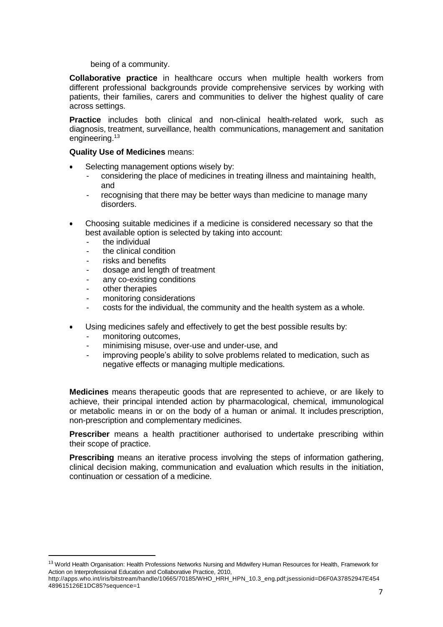being of a community.

**Collaborative practice** in healthcare occurs when multiple health workers from different professional backgrounds provide comprehensive services by working with patients, their families, carers and communities to deliver the highest quality of care across settings.

**Practice** includes both clinical and non-clinical health-related work, such as diagnosis, treatment, surveillance, health communications, management and sanitation engineering.<sup>13</sup>

#### **Quality Use of Medicines** means:

- Selecting management options wisely by:
	- considering the place of medicines in treating illness and maintaining health, and
	- recognising that there may be better ways than medicine to manage many disorders.
- Choosing suitable medicines if a medicine is considered necessary so that the best available option is selected by taking into account:
	- the individual
	- the clinical condition
	- risks and benefits
	- dosage and length of treatment
	- any co-existing conditions
	- other therapies

 $\overline{a}$ 

- monitoring considerations
- costs for the individual, the community and the health system as a whole.
- Using medicines safely and effectively to get the best possible results by:
	- monitoring outcomes.
	- minimising misuse, over-use and under-use, and
	- improving people's ability to solve problems related to medication, such as negative effects or managing multiple medications.

**Medicines** means therapeutic goods that are represented to achieve, or are likely to achieve, their principal intended action by pharmacological, chemical, immunological or metabolic means in or on the body of a human or animal. It includes prescription, non-prescription and complementary medicines.

**Prescriber** means a health practitioner authorised to undertake prescribing within their scope of practice.

**Prescribing** means an iterative process involving the steps of information gathering, clinical decision making, communication and evaluation which results in the initiation, continuation or cessation of a medicine.

<sup>&</sup>lt;sup>13</sup> World Health Organisation: Health Professions Networks Nursing and Midwifery Human Resources for Health, Framework for Action on Interprofessional Education and Collaborative Practice, 2010,

http://apps.who.int/iris/bitstream/handle/10665/70185/WHO\_HRH\_HPN\_10.3\_eng.pdf;jsessionid=D6F0A37852947E454 489615126E1DC85?sequence=1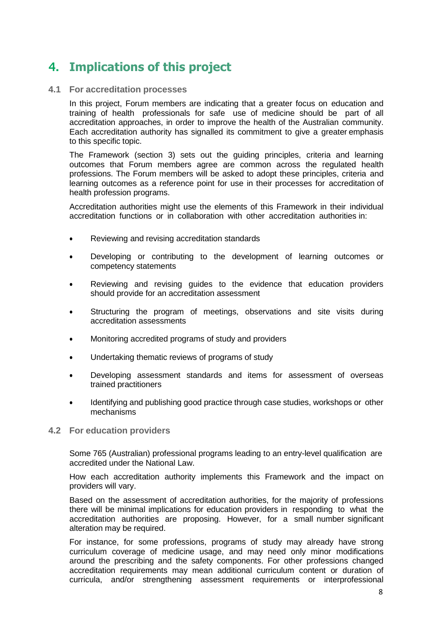# <span id="page-9-0"></span>4. **Implications of this project**

#### <span id="page-9-1"></span>**4.1 For accreditation processes**

In this project, Forum members are indicating that a greater focus on education and training of health professionals for safe use of medicine should be part of all accreditation approaches, in order to improve the health of the Australian community. Each accreditation authority has signalled its commitment to give a greater emphasis to this specific topic.

The Framework (section 3) sets out the guiding principles, criteria and learning outcomes that Forum members agree are common across the regulated health professions. The Forum members will be asked to adopt these principles, criteria and learning outcomes as a reference point for use in their processes for accreditation of health profession programs.

Accreditation authorities might use the elements of this Framework in their individual accreditation functions or in collaboration with other accreditation authorities in:

- Reviewing and revising accreditation standards
- Developing or contributing to the development of learning outcomes or competency statements
- Reviewing and revising guides to the evidence that education providers should provide for an accreditation assessment
- Structuring the program of meetings, observations and site visits during accreditation assessments
- Monitoring accredited programs of study and providers
- Undertaking thematic reviews of programs of study
- Developing assessment standards and items for assessment of overseas trained practitioners
- Identifying and publishing good practice through case studies, workshops or other mechanisms
- <span id="page-9-2"></span>**4.2 For education providers**

Some 765 (Australian) professional programs leading to an entry-level qualification are accredited under the National Law.

How each accreditation authority implements this Framework and the impact on providers will vary.

Based on the assessment of accreditation authorities, for the majority of professions there will be minimal implications for education providers in responding to what the accreditation authorities are proposing. However, for a small number significant alteration may be required.

For instance, for some professions, programs of study may already have strong curriculum coverage of medicine usage, and may need only minor modifications around the prescribing and the safety components. For other professions changed accreditation requirements may mean additional curriculum content or duration of curricula, and/or strengthening assessment requirements or interprofessional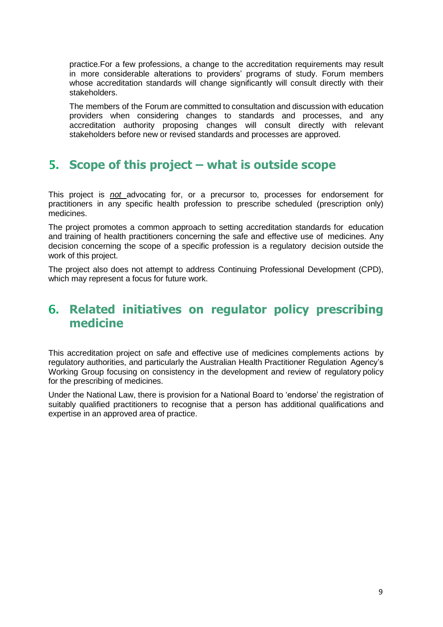practice.For a few professions, a change to the accreditation requirements may result in more considerable alterations to providers' programs of study. Forum members whose accreditation standards will change significantly will consult directly with their stakeholders.

The members of the Forum are committed to consultation and discussion with education providers when considering changes to standards and processes, and any accreditation authority proposing changes will consult directly with relevant stakeholders before new or revised standards and processes are approved.

### <span id="page-10-0"></span>5. **Scope of this project – what is outside scope**

This project is *not* advocating for, or a precursor to, processes for endorsement for practitioners in any specific health profession to prescribe scheduled (prescription only) medicines.

The project promotes a common approach to setting accreditation standards for education and training of health practitioners concerning the safe and effective use of medicines. Any decision concerning the scope of a specific profession is a regulatory decision outside the work of this project.

The project also does not attempt to address Continuing Professional Development (CPD), which may represent a focus for future work.

### <span id="page-10-1"></span>6. **Related initiatives on regulator policy prescribing medicine**

This accreditation project on safe and effective use of medicines complements actions by regulatory authorities, and particularly the Australian Health Practitioner Regulation Agency's Working Group focusing on consistency in the development and review of regulatory policy for the prescribing of medicines.

Under the National Law, there is provision for a National Board to 'endorse' the registration of suitably qualified practitioners to recognise that a person has additional qualifications and expertise in an approved area of practice.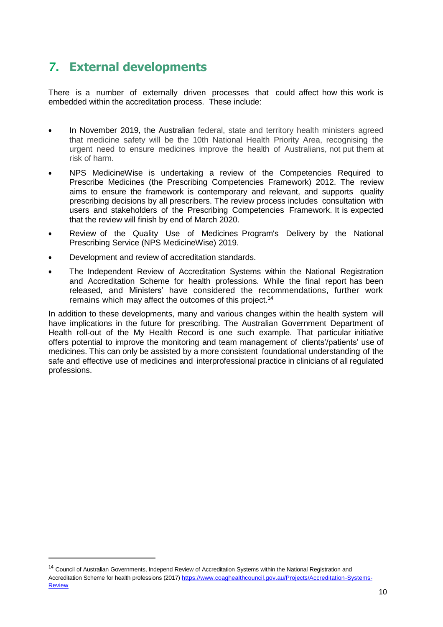# <span id="page-11-0"></span>7. **External developments**

There is a number of externally driven processes that could affect how this work is embedded within the accreditation process. These include:

- In November 2019, the Australian federal, state and territory health ministers agreed that medicine safety will be the 10th National Health Priority Area, recognising the urgent need to ensure medicines improve the health of Australians, not put them at risk of harm.
- NPS MedicineWise is undertaking a review of the Competencies Required to Prescribe Medicines (the Prescribing Competencies Framework) 2012. The review aims to ensure the framework is contemporary and relevant, and supports quality prescribing decisions by all prescribers. The review process includes consultation with users and stakeholders of the Prescribing Competencies Framework. It is expected that the review will finish by end of March 2020.
- Review of the Quality Use of Medicines Program's Delivery by the National Prescribing Service (NPS MedicineWise) 2019.
- Development and review of accreditation standards.

 $\overline{a}$ 

 The Independent Review of Accreditation Systems within the National Registration and Accreditation Scheme for health professions. While the final report has been released, and Ministers' have considered the recommendations, further work remains which may affect the outcomes of this project.<sup>14</sup>

In addition to these developments, many and various changes within the health system will have implications in the future for prescribing. The Australian Government Department of Health roll-out of the My Health Record is one such example. That particular initiative offers potential to improve the monitoring and team management of clients'/patients' use of medicines. This can only be assisted by a more consistent foundational understanding of the safe and effective use of medicines and interprofessional practice in clinicians of all regulated professions.

<sup>&</sup>lt;sup>14</sup> Council of Australian Governments, Independ Review of Accreditation Systems within the National Registration and Accreditation Scheme for health professions (2017) [https://www.coaghealthcouncil.gov.au/Projects/Accreditation-Systems-](https://www.coaghealthcouncil.gov.au/Projects/Accreditation-Systems-Review)[Review](https://www.coaghealthcouncil.gov.au/Projects/Accreditation-Systems-Review)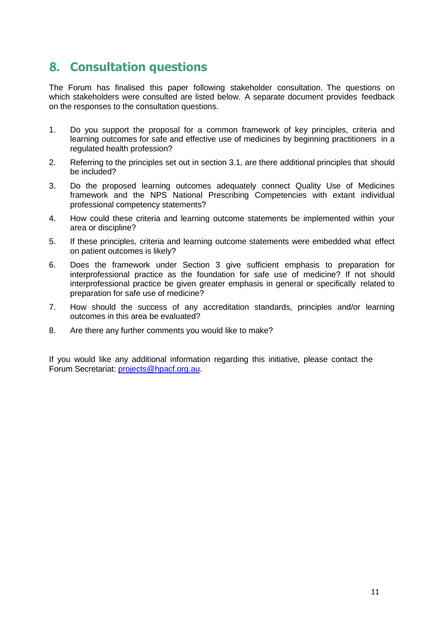## <span id="page-12-0"></span>8. **Consultation questions**

The Forum has finalised this paper following stakeholder consultation. The questions on which stakeholders were consulted are listed below. A separate document provides feedback on the responses to the consultation questions.

- 1. Do you support the proposal for a common framework of key principles, criteria and learning outcomes for safe and effective use of medicines by beginning practitioners in a regulated health profession?
- 2. Referring to the principles set out in section 3.1, are there additional principles that should be included?
- 3. Do the proposed learning outcomes adequately connect Quality Use of Medicines framework and the NPS National Prescribing Competencies with extant individual professional competency statements?
- 4. How could these criteria and learning outcome statements be implemented within your area or discipline?
- 5. If these principles, criteria and learning outcome statements were embedded what effect on patient outcomes is likely?
- 6. Does the framework under Section 3 give sufficient emphasis to preparation for interprofessional practice as the foundation for safe use of medicine? If not should interprofessional practice be given greater emphasis in general or specifically related to preparation for safe use of medicine?
- 7. How should the success of any accreditation standards, principles and/or learning outcomes in this area be evaluated?
- 8. Are there any further comments you would like to make?

If you would like any additional information regarding this initiative, please contact the Forum Secretariat: [projects@hpacf.org.au.](mailto:info@hpacf.org.au)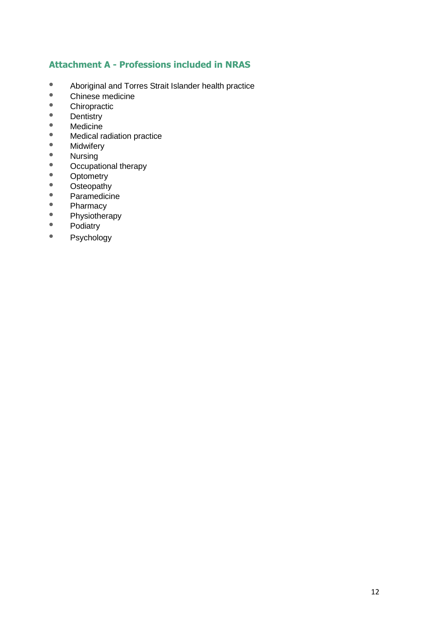### <span id="page-13-0"></span>**Attachment A - Professions included in NRAS**

- **•** Aboriginal and Torres Strait Islander health practice<br> **•** Chinese medicine
- Chinese medicine
- Chiropractic<br>• Dentistry
- **•** Dentistry
- **•** Medicine
- **• Medical radiation practice**<br>• • Midwifery
- Midwifery<br>• Nursing
- Nursing<br>• Occupat
- Occupational therapy<br>• Optometry
- Optometry<br>• Osteonathy
- Osteopathy<br>• Paramedicin
- Paramedicine<br>• Pharmacy
- Pharmacy<br>• Physiother
- Physiotherapy<br>• Podiatry
- **•** Podiatry
- **•** Psychology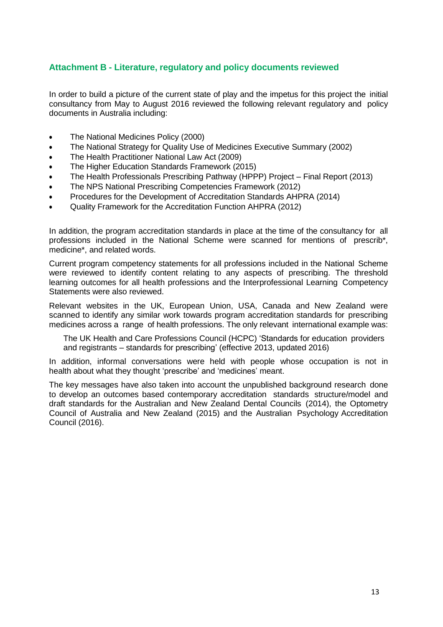### <span id="page-14-0"></span>**Attachment B - Literature, regulatory and policy documents reviewed**

In order to build a picture of the current state of play and the impetus for this project the initial consultancy from May to August 2016 reviewed the following relevant regulatory and policy documents in Australia including:

- The National Medicines Policy (2000)
- The National Strategy for Quality Use of Medicines Executive Summary (2002)
- The Health Practitioner National Law Act (2009)
- The Higher Education Standards Framework (2015)
- The Health Professionals Prescribing Pathway (HPPP) Project Final Report (2013)
- The NPS National Prescribing Competencies Framework (2012)
- Procedures for the Development of Accreditation Standards AHPRA (2014)
- Quality Framework for the Accreditation Function AHPRA (2012)

In addition, the program accreditation standards in place at the time of the consultancy for all professions included in the National Scheme were scanned for mentions of prescrib\*, medicine\*, and related words.

Current program competency statements for all professions included in the National Scheme were reviewed to identify content relating to any aspects of prescribing. The threshold learning outcomes for all health professions and the Interprofessional Learning Competency Statements were also reviewed.

Relevant websites in the UK, European Union, USA, Canada and New Zealand were scanned to identify any similar work towards program accreditation standards for prescribing medicines across a range of health professions. The only relevant international example was:

The UK Health and Care Professions Council (HCPC) 'Standards for education providers and registrants – standards for prescribing' (effective 2013, updated 2016)

In addition, informal conversations were held with people whose occupation is not in health about what they thought 'prescribe' and 'medicines' meant.

The key messages have also taken into account the unpublished background research done to develop an outcomes based contemporary accreditation standards structure/model and draft standards for the Australian and New Zealand Dental Councils (2014), the Optometry Council of Australia and New Zealand (2015) and the Australian Psychology Accreditation Council (2016).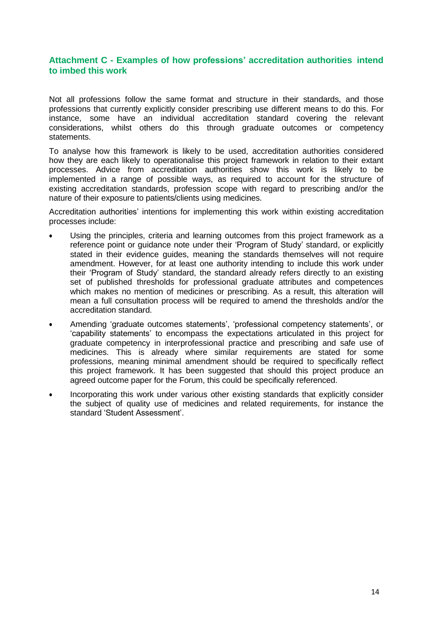### <span id="page-15-0"></span>**Attachment C - Examples of how professions' accreditation authorities intend to imbed this work**

Not all professions follow the same format and structure in their standards, and those professions that currently explicitly consider prescribing use different means to do this. For instance, some have an individual accreditation standard covering the relevant considerations, whilst others do this through graduate outcomes or competency statements.

To analyse how this framework is likely to be used, accreditation authorities considered how they are each likely to operationalise this project framework in relation to their extant processes. Advice from accreditation authorities show this work is likely to be implemented in a range of possible ways, as required to account for the structure of existing accreditation standards, profession scope with regard to prescribing and/or the nature of their exposure to patients/clients using medicines.

Accreditation authorities' intentions for implementing this work within existing accreditation processes include:

- Using the principles, criteria and learning outcomes from this project framework as a reference point or guidance note under their 'Program of Study' standard, or explicitly stated in their evidence guides, meaning the standards themselves will not require amendment. However, for at least one authority intending to include this work under their 'Program of Study' standard, the standard already refers directly to an existing set of published thresholds for professional graduate attributes and competences which makes no mention of medicines or prescribing. As a result, this alteration will mean a full consultation process will be required to amend the thresholds and/or the accreditation standard.
- Amending 'graduate outcomes statements', 'professional competency statements', or 'capability statements' to encompass the expectations articulated in this project for graduate competency in interprofessional practice and prescribing and safe use of medicines. This is already where similar requirements are stated for some professions, meaning minimal amendment should be required to specifically reflect this project framework. It has been suggested that should this project produce an agreed outcome paper for the Forum, this could be specifically referenced.
- Incorporating this work under various other existing standards that explicitly consider the subject of quality use of medicines and related requirements, for instance the standard 'Student Assessment'.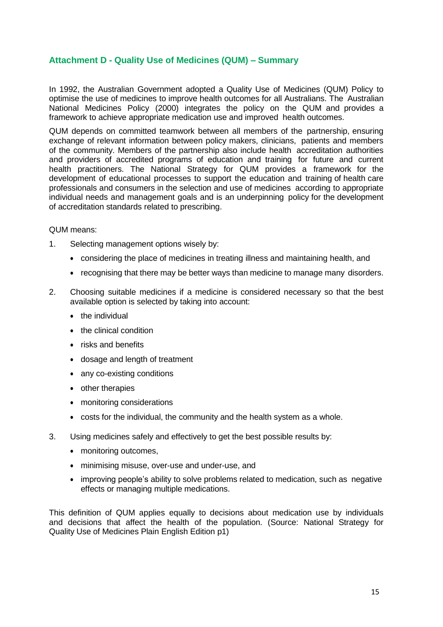### <span id="page-16-0"></span>**Attachment D - Quality Use of Medicines (QUM) – Summary**

In 1992, the Australian Government adopted a Quality Use of Medicines (QUM) Policy to optimise the use of medicines to improve health outcomes for all Australians. The Australian National Medicines Policy (2000) integrates the policy on the QUM and provides a framework to achieve appropriate medication use and improved health outcomes.

QUM depends on committed teamwork between all members of the partnership, ensuring exchange of relevant information between policy makers, clinicians, patients and members of the community. Members of the partnership also include health accreditation authorities and providers of accredited programs of education and training for future and current health practitioners. The National Strategy for QUM provides a framework for the development of educational processes to support the education and training of health care professionals and consumers in the selection and use of medicines according to appropriate individual needs and management goals and is an underpinning policy for the development of accreditation standards related to prescribing.

#### QUM means:

- 1. Selecting management options wisely by:
	- considering the place of medicines in treating illness and maintaining health, and
	- recognising that there may be better ways than medicine to manage many disorders.
- 2. Choosing suitable medicines if a medicine is considered necessary so that the best available option is selected by taking into account:
	- the individual
	- the clinical condition
	- risks and benefits
	- dosage and length of treatment
	- any co-existing conditions
	- other therapies
	- monitoring considerations
	- costs for the individual, the community and the health system as a whole.
- 3. Using medicines safely and effectively to get the best possible results by:
	- monitoring outcomes,
	- minimising misuse, over-use and under-use, and
	- improving people's ability to solve problems related to medication, such as negative effects or managing multiple medications.

This definition of QUM applies equally to decisions about medication use by individuals and decisions that affect the health of the population. (Source: National Strategy for Quality Use of Medicines Plain English Edition p1)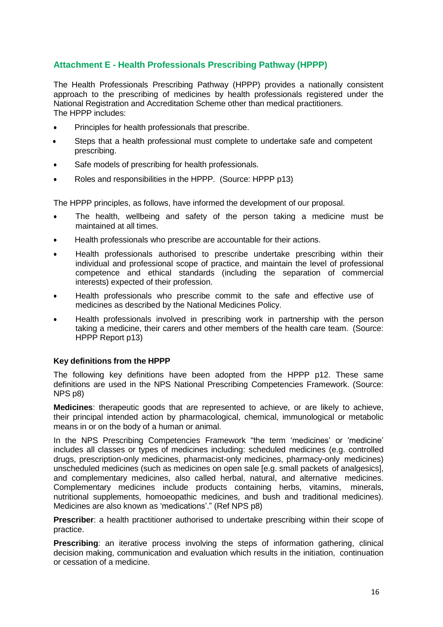### <span id="page-17-0"></span>**Attachment E - Health Professionals Prescribing Pathway (HPPP)**

The Health Professionals Prescribing Pathway (HPPP) provides a nationally consistent approach to the prescribing of medicines by health professionals registered under the National Registration and Accreditation Scheme other than medical practitioners. The HPPP includes:

- Principles for health professionals that prescribe.
- Steps that a health professional must complete to undertake safe and competent prescribing.
- Safe models of prescribing for health professionals.
- Roles and responsibilities in the HPPP. (Source: HPPP p13)

The HPPP principles, as follows, have informed the development of our proposal.

- The health, wellbeing and safety of the person taking a medicine must be maintained at all times.
- Health professionals who prescribe are accountable for their actions.
- Health professionals authorised to prescribe undertake prescribing within their individual and professional scope of practice, and maintain the level of professional competence and ethical standards (including the separation of commercial interests) expected of their profession.
- Health professionals who prescribe commit to the safe and effective use of medicines as described by the National Medicines Policy.
- Health professionals involved in prescribing work in partnership with the person taking a medicine, their carers and other members of the health care team. (Source: HPPP Report p13)

#### **Key definitions from the HPPP**

The following key definitions have been adopted from the HPPP p12. These same definitions are used in the NPS National Prescribing Competencies Framework. (Source: NPS p8)

**Medicines**: therapeutic goods that are represented to achieve, or are likely to achieve, their principal intended action by pharmacological, chemical, immunological or metabolic means in or on the body of a human or animal.

In the NPS Prescribing Competencies Framework "the term 'medicines' or 'medicine' includes all classes or types of medicines including: scheduled medicines (e.g. controlled drugs, prescription-only medicines, pharmacist-only medicines, pharmacy-only medicines) unscheduled medicines (such as medicines on open sale [e.g. small packets of analgesics], and complementary medicines, also called herbal, natural, and alternative medicines. Complementary medicines include products containing herbs, vitamins, minerals, nutritional supplements, homoeopathic medicines, and bush and traditional medicines). Medicines are also known as 'medications'." (Ref NPS p8)

**Prescriber**: a health practitioner authorised to undertake prescribing within their scope of practice.

**Prescribing**: an iterative process involving the steps of information gathering, clinical decision making, communication and evaluation which results in the initiation, continuation or cessation of a medicine.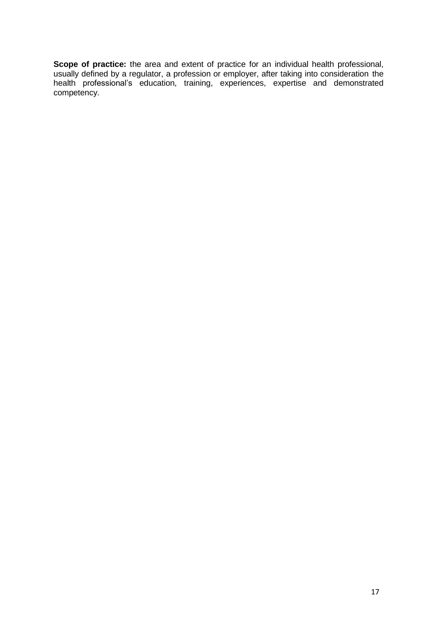**Scope of practice:** the area and extent of practice for an individual health professional, usually defined by a regulator, a profession or employer, after taking into consideration the health professional's education, training, experiences, expertise and demonstrated competency.